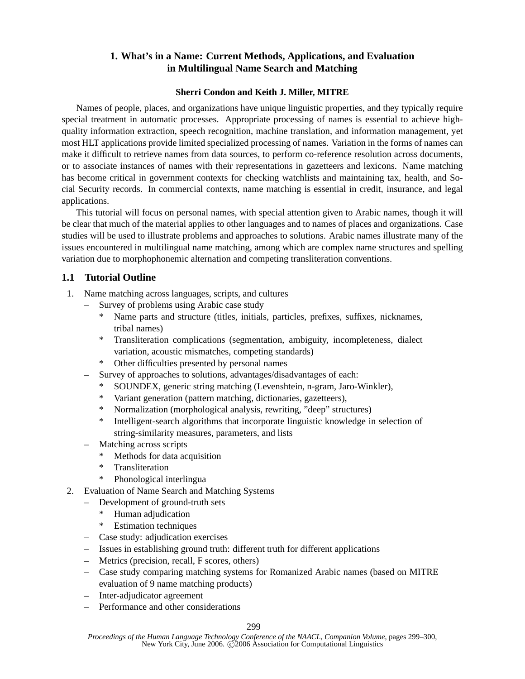## **1. What's in a Name: Current Methods, Applications, and Evaluation in Multilingual Name Search and Matching**

## **Sherri Condon and Keith J. Miller, MITRE**

Names of people, places, and organizations have unique linguistic properties, and they typically require special treatment in automatic processes. Appropriate processing of names is essential to achieve highquality information extraction, speech recognition, machine translation, and information management, yet most HLT applications provide limited specialized processing of names. Variation in the forms of names can make it difficult to retrieve names from data sources, to perform co-reference resolution across documents, or to associate instances of names with their representations in gazetteers and lexicons. Name matching has become critical in government contexts for checking watchlists and maintaining tax, health, and Social Security records. In commercial contexts, name matching is essential in credit, insurance, and legal applications.

This tutorial will focus on personal names, with special attention given to Arabic names, though it will be clear that much of the material applies to other languages and to names of places and organizations. Case studies will be used to illustrate problems and approaches to solutions. Arabic names illustrate many of the issues encountered in multilingual name matching, among which are complex name structures and spelling variation due to morphophonemic alternation and competing transliteration conventions.

## **1.1 Tutorial Outline**

- 1. Name matching across languages, scripts, and cultures
	- Survey of problems using Arabic case study
		- Name parts and structure (titles, initials, particles, prefixes, suffixes, nicknames, tribal names)
		- \* Transliteration complications (segmentation, ambiguity, incompleteness, dialect variation, acoustic mismatches, competing standards)
		- \* Other difficulties presented by personal names
	- Survey of approaches to solutions, advantages/disadvantages of each:
		- SOUNDEX, generic string matching (Levenshtein, n-gram, Jaro-Winkler),
		- Variant generation (pattern matching, dictionaries, gazetteers),
		- \* Normalization (morphological analysis, rewriting, "deep" structures)
		- \* Intelligent-search algorithms that incorporate linguistic knowledge in selection of string-similarity measures, parameters, and lists
	- Matching across scripts
		- Methods for data acquisition
		- \* Transliteration
		- \* Phonological interlingua
- 2. Evaluation of Name Search and Matching Systems
	- Development of ground-truth sets
		- \* Human adjudication
		- \* Estimation techniques
	- Case study: adjudication exercises
	- Issues in establishing ground truth: different truth for different applications
	- Metrics (precision, recall, F scores, others)
	- Case study comparing matching systems for Romanized Arabic names (based on MITRE evaluation of 9 name matching products)
	- Inter-adjudicator agreement
	- Performance and other considerations